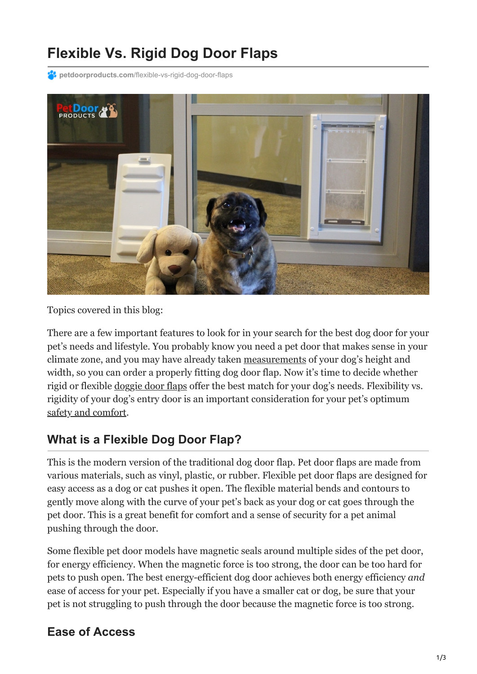# **Flexible Vs. Rigid Dog Door Flaps**

**petdoorproducts.com**[/flexible-vs-rigid-dog-door-flaps](https://petdoorproducts.com/flexible-vs-rigid-dog-door-flaps/)



Topics covered in this blog:

There are a few important features to look for in your search for the best dog door for your pet's needs and lifestyle. You probably know you need a pet door that makes sense in your climate zone, and you may have already taken [measurements](https://youtu.be/xbSlmn058Gg) of your dog's height and width, so you can order a properly fitting dog door flap. Now it's time to decide whether rigid or flexible [doggie door flaps](https://petdoorproducts.com/) offer the best match for your dog's needs. Flexibility vs. rigidity of your dog's entry door is an important consideration for your pet's optimum [safety and comfort.](https://petdoorproducts.com/why-choose-us/)

#### **What is a Flexible Dog Door Flap?**

This is the modern version of the traditional dog door flap. Pet door flaps are made from various materials, such as vinyl, plastic, or rubber. Flexible pet door flaps are designed for easy access as a dog or cat pushes it open. The flexible material bends and contours to gently move along with the curve of your pet's back as your dog or cat goes through the pet door. This is a great benefit for comfort and a sense of security for a pet animal pushing through the door.

Some flexible pet door models have magnetic seals around multiple sides of the pet door, for energy efficiency. When the magnetic force is too strong, the door can be too hard for pets to push open. The best energy-efficient dog door achieves both energy efficiency *and* ease of access for your pet. Especially if you have a smaller cat or dog, be sure that your pet is not struggling to push through the door because the magnetic force is too strong.

#### **Ease of Access**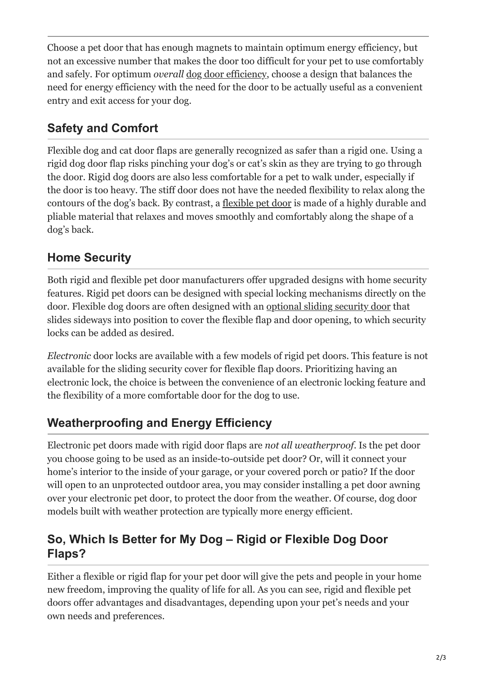Choose a pet door that has enough magnets to maintain optimum energy efficiency, but not an excessive number that makes the door too difficult for your pet to use comfortably and safely. For optimum *overall* [dog door efficiency,](https://petdoorproducts.com/should-i-upgrade-to-an-energy-efficient-doggie-door/) choose a design that balances the need for energy efficiency with the need for the door to be actually useful as a convenient entry and exit access for your dog.

# **Safety and Comfort**

Flexible dog and cat door flaps are generally recognized as safer than a rigid one. Using a rigid dog door flap risks pinching your dog's or cat's skin as they are trying to go through the door. Rigid dog doors are also less comfortable for a pet to walk under, especially if the door is too heavy. The stiff door does not have the needed flexibility to relax along the contours of the dog's back. By contrast, a [flexible pet door](https://petdoorproducts.com/why-choose-us/) is made of a highly durable and pliable material that relaxes and moves smoothly and comfortably along the shape of a dog's back.

## **Home Security**

Both rigid and flexible pet door manufacturers offer upgraded designs with home security features. Rigid pet doors can be designed with special locking mechanisms directly on the door. Flexible dog doors are often designed with an [optional sliding security door](https://petdoorproducts.com/do-it-yourself/) that slides sideways into position to cover the flexible flap and door opening, to which security locks can be added as desired.

*Electronic* door locks are available with a few models of rigid pet doors. This feature is not available for the sliding security cover for flexible flap doors. Prioritizing having an electronic lock, the choice is between the convenience of an electronic locking feature and the flexibility of a more comfortable door for the dog to use.

# **Weatherproofing and Energy Efficiency**

Electronic pet doors made with rigid door flaps are *not all weatherproof*. Is the pet door you choose going to be used as an inside-to-outside pet door? Or, will it connect your home's interior to the inside of your garage, or your covered porch or patio? If the door will open to an unprotected outdoor area, you may consider installing a pet door awning over your electronic pet door, to protect the door from the weather. Of course, dog door models built with weather protection are typically more energy efficient.

### **So, Which Is Better for My Dog – Rigid or Flexible Dog Door Flaps?**

Either a flexible or rigid flap for your pet door will give the pets and people in your home new freedom, improving the quality of life for all. As you can see, rigid and flexible pet doors offer advantages and disadvantages, depending upon your pet's needs and your own needs and preferences.